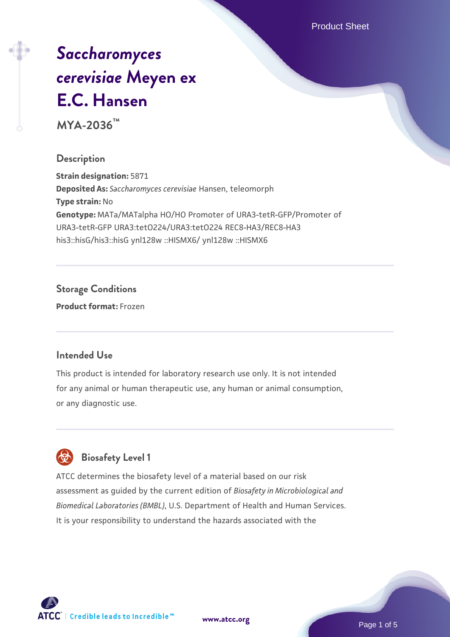Product Sheet

# *[Saccharomyces](https://www.atcc.org/products/mya-2036) [cerevisiae](https://www.atcc.org/products/mya-2036)* **[Meyen ex](https://www.atcc.org/products/mya-2036) [E.C. Hansen](https://www.atcc.org/products/mya-2036)**

**MYA-2036™**

#### **Description**

**Strain designation:** 5871 **Deposited As:** *Saccharomyces cerevisiae* Hansen, teleomorph **Type strain:** No **Genotype:** MATa/MATalpha HO/HO Promoter of URA3-tetR-GFP/Promoter of URA3-tetR-GFP URA3:tetO224/URA3:tetO224 REC8-HA3/REC8-HA3 his3::hisG/his3::hisG ynl128w ::HISMX6/ ynl128w ::HISMX6

# **Storage Conditions**

**Product format:** Frozen

# **Intended Use**

This product is intended for laboratory research use only. It is not intended for any animal or human therapeutic use, any human or animal consumption, or any diagnostic use.



# **Biosafety Level 1**

ATCC determines the biosafety level of a material based on our risk assessment as guided by the current edition of *Biosafety in Microbiological and Biomedical Laboratories (BMBL)*, U.S. Department of Health and Human Services. It is your responsibility to understand the hazards associated with the

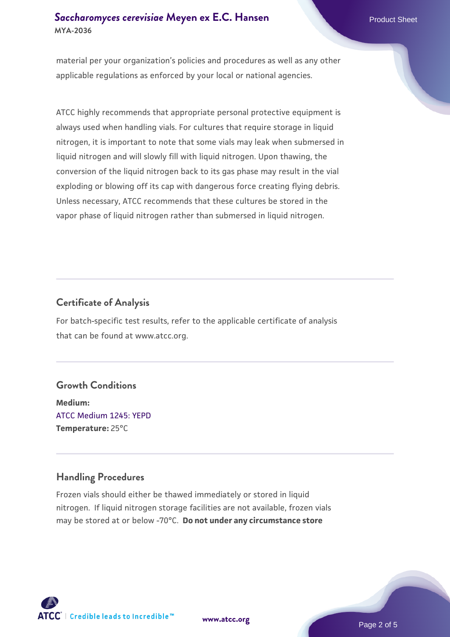#### **[Saccharomyces cerevisiae](https://www.atcc.org/products/mya-2036)** [Meyen ex E.C. Hansen](https://www.atcc.org/products/mya-2036) **MYA-2036**

material per your organization's policies and procedures as well as any other applicable regulations as enforced by your local or national agencies.

ATCC highly recommends that appropriate personal protective equipment is always used when handling vials. For cultures that require storage in liquid nitrogen, it is important to note that some vials may leak when submersed in liquid nitrogen and will slowly fill with liquid nitrogen. Upon thawing, the conversion of the liquid nitrogen back to its gas phase may result in the vial exploding or blowing off its cap with dangerous force creating flying debris. Unless necessary, ATCC recommends that these cultures be stored in the vapor phase of liquid nitrogen rather than submersed in liquid nitrogen.

# **Certificate of Analysis**

For batch-specific test results, refer to the applicable certificate of analysis that can be found at www.atcc.org.

# **Growth Conditions**

**Medium:**  [ATCC Medium 1245: YEPD](https://www.atcc.org/-/media/product-assets/documents/microbial-media-formulations/1/2/4/5/atcc-medium-1245.pdf?rev=705ca55d1b6f490a808a965d5c072196) **Temperature:** 25°C

# **Handling Procedures**

Frozen vials should either be thawed immediately or stored in liquid nitrogen. If liquid nitrogen storage facilities are not available, frozen vials may be stored at or below -70°C. **Do not under any circumstance store**



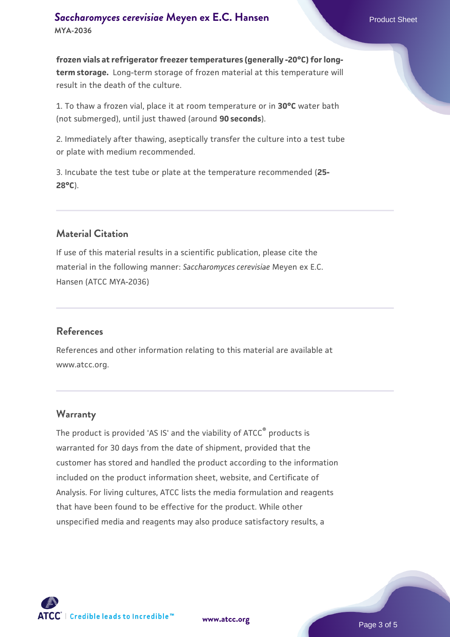**frozen vials at refrigerator freezer temperatures (generally -20°C) for longterm storage.** Long-term storage of frozen material at this temperature will result in the death of the culture.

1. To thaw a frozen vial, place it at room temperature or in **30°C** water bath (not submerged), until just thawed (around **90 seconds**).

2. Immediately after thawing, aseptically transfer the culture into a test tube or plate with medium recommended.

3. Incubate the test tube or plate at the temperature recommended (**25- 28°C**).

# **Material Citation**

If use of this material results in a scientific publication, please cite the material in the following manner: *Saccharomyces cerevisiae* Meyen ex E.C. Hansen (ATCC MYA-2036)

#### **References**

References and other information relating to this material are available at www.atcc.org.

#### **Warranty**

The product is provided 'AS IS' and the viability of ATCC® products is warranted for 30 days from the date of shipment, provided that the customer has stored and handled the product according to the information included on the product information sheet, website, and Certificate of Analysis. For living cultures, ATCC lists the media formulation and reagents that have been found to be effective for the product. While other unspecified media and reagents may also produce satisfactory results, a

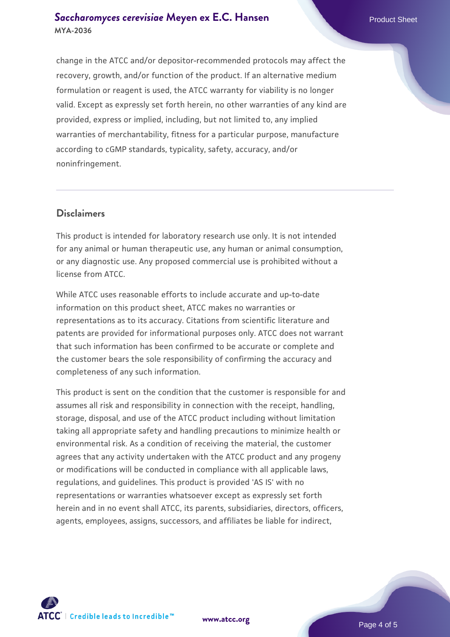#### **[Saccharomyces cerevisiae](https://www.atcc.org/products/mya-2036)** [Meyen ex E.C. Hansen](https://www.atcc.org/products/mya-2036) **MYA-2036**

change in the ATCC and/or depositor-recommended protocols may affect the recovery, growth, and/or function of the product. If an alternative medium formulation or reagent is used, the ATCC warranty for viability is no longer valid. Except as expressly set forth herein, no other warranties of any kind are provided, express or implied, including, but not limited to, any implied warranties of merchantability, fitness for a particular purpose, manufacture according to cGMP standards, typicality, safety, accuracy, and/or noninfringement.

#### **Disclaimers**

This product is intended for laboratory research use only. It is not intended for any animal or human therapeutic use, any human or animal consumption, or any diagnostic use. Any proposed commercial use is prohibited without a license from ATCC.

While ATCC uses reasonable efforts to include accurate and up-to-date information on this product sheet, ATCC makes no warranties or representations as to its accuracy. Citations from scientific literature and patents are provided for informational purposes only. ATCC does not warrant that such information has been confirmed to be accurate or complete and the customer bears the sole responsibility of confirming the accuracy and completeness of any such information.

This product is sent on the condition that the customer is responsible for and assumes all risk and responsibility in connection with the receipt, handling, storage, disposal, and use of the ATCC product including without limitation taking all appropriate safety and handling precautions to minimize health or environmental risk. As a condition of receiving the material, the customer agrees that any activity undertaken with the ATCC product and any progeny or modifications will be conducted in compliance with all applicable laws, regulations, and guidelines. This product is provided 'AS IS' with no representations or warranties whatsoever except as expressly set forth herein and in no event shall ATCC, its parents, subsidiaries, directors, officers, agents, employees, assigns, successors, and affiliates be liable for indirect,